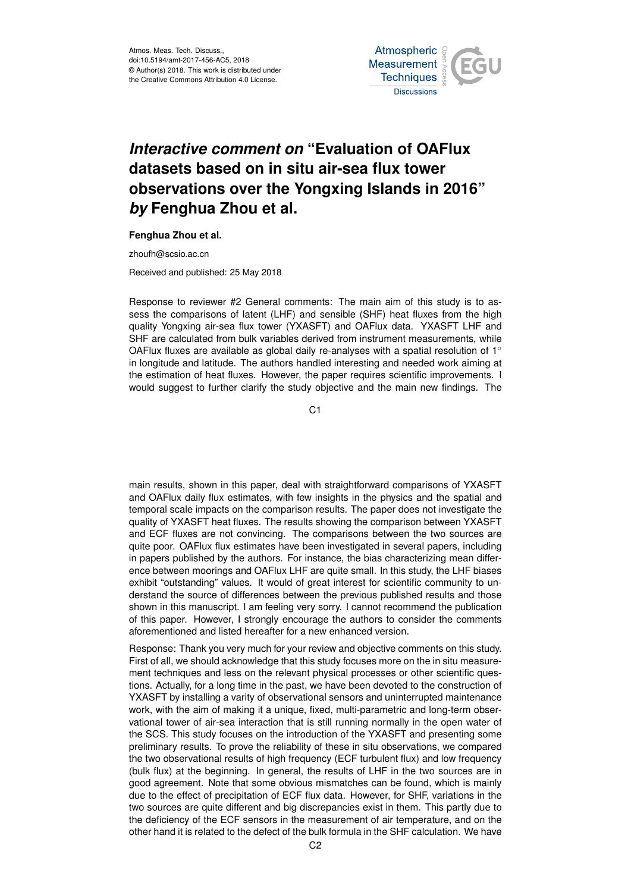Atmos. Meas. Tech. Discuss., doi:10.5194/amt-2017-456-AC5, 2018 © Author(s) 2018. This work is distributed under the Creative Commons Attribution 4.0 License.



## *Interactive comment on* **"Evaluation of OAFlux datasets based on in situ air-sea flux tower observations over the Yongxing Islands in 2016"** *by* **Fenghua Zhou et al.**

## **Fenghua Zhou et al.**

zhoufh@scsio.ac.cn

Received and published: 25 May 2018

Response to reviewer #2 General comments: The main aim of this study is to assess the comparisons of latent (LHF) and sensible (SHF) heat fluxes from the high quality Yongxing air-sea flux tower (YXASFT) and OAFlux data. YXASFT LHF and SHF are calculated from bulk variables derived from instrument measurements, while OAFlux fluxes are available as global daily re-analyses with a spatial resolution of  $1^\circ$ in longitude and latitude. The authors handled interesting and needed work aiming at the estimation of heat fluxes. However, the paper requires scientific improvements. I would suggest to further clarify the study objective and the main new findings. The

C1

main results, shown in this paper, deal with straightforward comparisons of YXASFT and OAFlux daily flux estimates, with few insights in the physics and the spatial and temporal scale impacts on the comparison results. The paper does not investigate the quality of YXASFT heat fluxes. The results showing the comparison between YXASFT and ECF fluxes are not convincing. The comparisons between the two sources are quite poor. OAFlux flux estimates have been investigated in several papers, including in papers published by the authors. For instance, the bias characterizing mean difference between moorings and OAFlux LHF are quite small. In this study, the LHF biases exhibit "outstanding" values. It would of great interest for scientific community to understand the source of differences between the previous published results and those shown in this manuscript. I am feeling very sorry. I cannot recommend the publication of this paper. However, I strongly encourage the authors to consider the comments aforementioned and listed hereafter for a new enhanced version.

Response: Thank you very much for your review and objective comments on this study. First of all, we should acknowledge that this study focuses more on the in situ measurement techniques and less on the relevant physical processes or other scientific questions. Actually, for a long time in the past, we have been devoted to the construction of YXASFT by installing a varity of observational sensors and uninterrupted maintenance work, with the aim of making it a unique, fixed, multi-parametric and long-term observational tower of air-sea interaction that is still running normally in the open water of the SCS. This study focuses on the introduction of the YXASFT and presenting some preliminary results. To prove the reliability of these in situ observations, we compared the two observational results of high frequency (ECF turbulent flux) and low frequency (bulk flux) at the beginning. In general, the results of LHF in the two sources are in good agreement. Note that some obvious mismatches can be found, which is mainly due to the effect of precipitation of ECF flux data. However, for SHF, variations in the two sources are quite different and big discrepancies exist in them. This partly due to the deficiency of the ECF sensors in the measurement of air temperature, and on the other hand it is related to the defect of the bulk formula in the SHF calculation. We have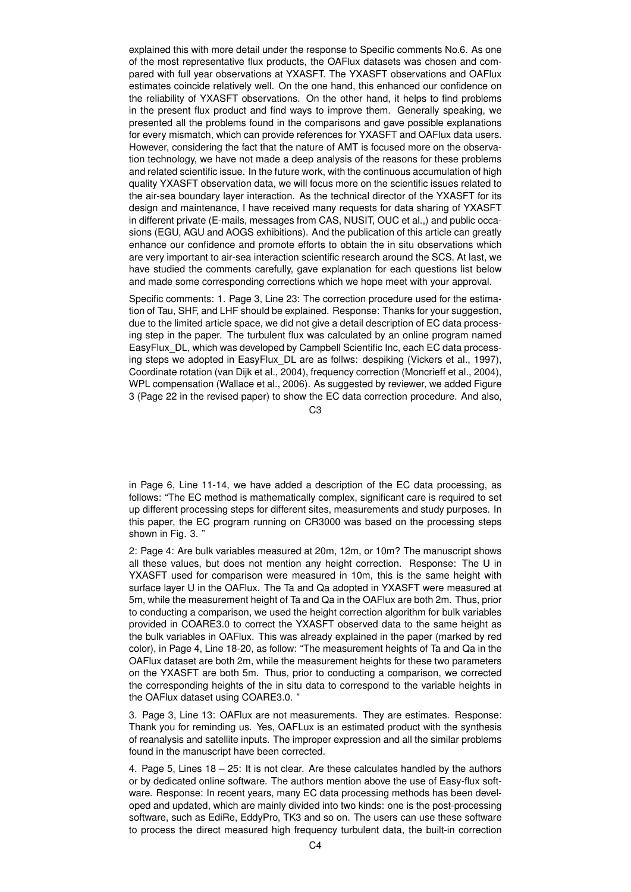explained this with more detail under the response to Specific comments No.6. As one of the most representative flux products, the OAFlux datasets was chosen and compared with full year observations at YXASFT. The YXASFT observations and OAFlux estimates coincide relatively well. On the one hand, this enhanced our confidence on the reliability of YXASFT observations. On the other hand, it helps to find problems in the present flux product and find ways to improve them. Generally speaking, we presented all the problems found in the comparisons and gave possible explanations for every mismatch, which can provide references for YXASFT and OAFlux data users. However, considering the fact that the nature of AMT is focused more on the observation technology, we have not made a deep analysis of the reasons for these problems and related scientific issue. In the future work, with the continuous accumulation of high quality YXASFT observation data, we will focus more on the scientific issues related to the air-sea boundary layer interaction. As the technical director of the YXASFT for its design and maintenance, I have received many requests for data sharing of YXASFT in different private (E-mails, messages from CAS, NUSIT, OUC et al.,) and public occasions (EGU, AGU and AOGS exhibitions). And the publication of this article can greatly enhance our confidence and promote efforts to obtain the in situ observations which are very important to air-sea interaction scientific research around the SCS. At last, we have studied the comments carefully, gave explanation for each questions list below and made some corresponding corrections which we hope meet with your approval.

Specific comments: 1. Page 3, Line 23: The correction procedure used for the estimation of Tau, SHF, and LHF should be explained. Response: Thanks for your suggestion, due to the limited article space, we did not give a detail description of EC data processing step in the paper. The turbulent flux was calculated by an online program named EasyFlux\_DL, which was developed by Campbell Scientific Inc, each EC data processing steps we adopted in EasyFlux\_DL are as follws: despiking (Vickers et al., 1997), Coordinate rotation (van Dijk et al., 2004), frequency correction (Moncrieff et al., 2004), WPL compensation (Wallace et al., 2006). As suggested by reviewer, we added Figure 3 (Page 22 in the revised paper) to show the EC data correction procedure. And also,

 $C<sub>3</sub>$ 

in Page 6, Line 11-14, we have added a description of the EC data processing, as follows: "The EC method is mathematically complex, significant care is required to set up different processing steps for different sites, measurements and study purposes. In this paper, the EC program running on CR3000 was based on the processing steps shown in Fig. 3. "

2: Page 4: Are bulk variables measured at 20m, 12m, or 10m? The manuscript shows all these values, but does not mention any height correction. Response: The U in YXASFT used for comparison were measured in 10m, this is the same height with surface layer U in the OAFlux. The Ta and Qa adopted in YXASFT were measured at 5m, while the measurement height of Ta and Qa in the OAFlux are both 2m. Thus, prior to conducting a comparison, we used the height correction algorithm for bulk variables provided in COARE3.0 to correct the YXASFT observed data to the same height as the bulk variables in OAFlux. This was already explained in the paper (marked by red color), in Page 4, Line 18-20, as follow: "The measurement heights of Ta and Qa in the OAFlux dataset are both 2m, while the measurement heights for these two parameters on the YXASFT are both 5m. Thus, prior to conducting a comparison, we corrected the corresponding heights of the in situ data to correspond to the variable heights in the OAFlux dataset using COARE3.0. "

3. Page 3, Line 13: OAFlux are not measurements. They are estimates. Response: Thank you for reminding us. Yes, OAFLux is an estimated product with the synthesis of reanalysis and satellite inputs. The improper expression and all the similar problems found in the manuscript have been corrected.

4. Page 5, Lines 18 – 25: It is not clear. Are these calculates handled by the authors or by dedicated online software. The authors mention above the use of Easy-flux software. Response: In recent years, many EC data processing methods has been developed and updated, which are mainly divided into two kinds: one is the post-processing software, such as EdiRe, EddyPro, TK3 and so on. The users can use these software to process the direct measured high frequency turbulent data, the built-in correction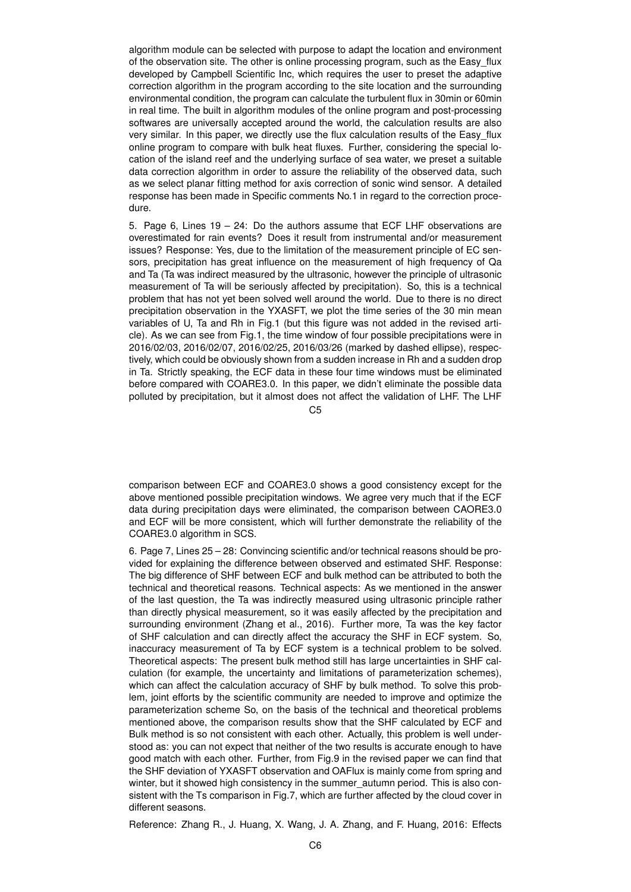algorithm module can be selected with purpose to adapt the location and environment of the observation site. The other is online processing program, such as the Easy\_flux developed by Campbell Scientific Inc, which requires the user to preset the adaptive correction algorithm in the program according to the site location and the surrounding environmental condition, the program can calculate the turbulent flux in 30min or 60min in real time. The built in algorithm modules of the online program and post-processing softwares are universally accepted around the world, the calculation results are also very similar. In this paper, we directly use the flux calculation results of the Easy\_flux online program to compare with bulk heat fluxes. Further, considering the special location of the island reef and the underlying surface of sea water, we preset a suitable data correction algorithm in order to assure the reliability of the observed data, such as we select planar fitting method for axis correction of sonic wind sensor. A detailed response has been made in Specific comments No.1 in regard to the correction procedure.

5. Page 6, Lines 19 – 24: Do the authors assume that ECF LHF observations are overestimated for rain events? Does it result from instrumental and/or measurement issues? Response: Yes, due to the limitation of the measurement principle of EC sensors, precipitation has great influence on the measurement of high frequency of Qa and Ta (Ta was indirect measured by the ultrasonic, however the principle of ultrasonic measurement of Ta will be seriously affected by precipitation). So, this is a technical problem that has not yet been solved well around the world. Due to there is no direct precipitation observation in the YXASFT, we plot the time series of the 30 min mean variables of U, Ta and Rh in Fig.1 (but this figure was not added in the revised article). As we can see from Fig.1, the time window of four possible precipitations were in 2016/02/03, 2016/02/07, 2016/02/25, 2016/03/26 (marked by dashed ellipse), respectively, which could be obviously shown from a sudden increase in Rh and a sudden drop in Ta. Strictly speaking, the ECF data in these four time windows must be eliminated before compared with COARE3.0. In this paper, we didn't eliminate the possible data polluted by precipitation, but it almost does not affect the validation of LHF. The LHF

C5

comparison between ECF and COARE3.0 shows a good consistency except for the above mentioned possible precipitation windows. We agree very much that if the ECF data during precipitation days were eliminated, the comparison between CAORE3.0 and ECF will be more consistent, which will further demonstrate the reliability of the COARE3.0 algorithm in SCS.

6. Page 7, Lines 25 – 28: Convincing scientific and/or technical reasons should be provided for explaining the difference between observed and estimated SHF. Response: The big difference of SHF between ECF and bulk method can be attributed to both the technical and theoretical reasons. Technical aspects: As we mentioned in the answer of the last question, the Ta was indirectly measured using ultrasonic principle rather than directly physical measurement, so it was easily affected by the precipitation and surrounding environment (Zhang et al., 2016). Further more, Ta was the key factor of SHF calculation and can directly affect the accuracy the SHF in ECF system. So, inaccuracy measurement of Ta by ECF system is a technical problem to be solved. Theoretical aspects: The present bulk method still has large uncertainties in SHF calculation (for example, the uncertainty and limitations of parameterization schemes), which can affect the calculation accuracy of SHF by bulk method. To solve this problem, joint efforts by the scientific community are needed to improve and optimize the parameterization scheme So, on the basis of the technical and theoretical problems mentioned above, the comparison results show that the SHF calculated by ECF and Bulk method is so not consistent with each other. Actually, this problem is well understood as: you can not expect that neither of the two results is accurate enough to have good match with each other. Further, from Fig.9 in the revised paper we can find that the SHF deviation of YXASFT observation and OAFlux is mainly come from spring and winter, but it showed high consistency in the summer autumn period. This is also consistent with the Ts comparison in Fig.7, which are further affected by the cloud cover in different seasons.

Reference: Zhang R., J. Huang, X. Wang, J. A. Zhang, and F. Huang, 2016: Effects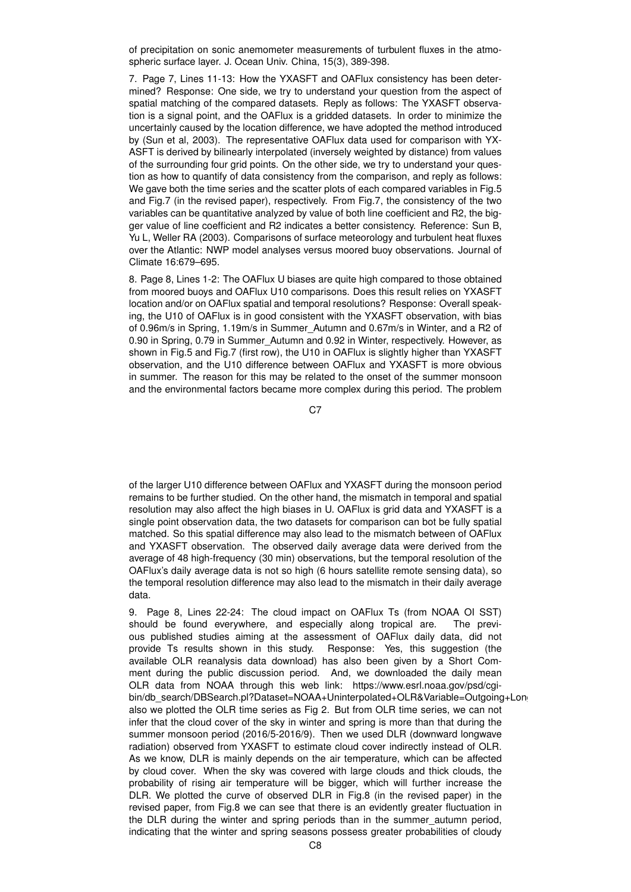of precipitation on sonic anemometer measurements of turbulent fluxes in the atmospheric surface layer. J. Ocean Univ. China, 15(3), 389-398.

7. Page 7, Lines 11-13: How the YXASFT and OAFlux consistency has been determined? Response: One side, we try to understand your question from the aspect of spatial matching of the compared datasets. Reply as follows: The YXASFT observation is a signal point, and the OAFlux is a gridded datasets. In order to minimize the uncertainly caused by the location difference, we have adopted the method introduced by (Sun et al, 2003). The representative OAFlux data used for comparison with YX-ASFT is derived by bilinearly interpolated (inversely weighted by distance) from values of the surrounding four grid points. On the other side, we try to understand your question as how to quantify of data consistency from the comparison, and reply as follows: We gave both the time series and the scatter plots of each compared variables in Fig.5 and Fig.7 (in the revised paper), respectively. From Fig.7, the consistency of the two variables can be quantitative analyzed by value of both line coefficient and R2, the bigger value of line coefficient and R2 indicates a better consistency. Reference: Sun B, Yu L, Weller RA (2003). Comparisons of surface meteorology and turbulent heat fluxes over the Atlantic: NWP model analyses versus moored buoy observations. Journal of Climate 16:679–695.

8. Page 8, Lines 1-2: The OAFlux U biases are quite high compared to those obtained from moored buoys and OAFlux U10 comparisons. Does this result relies on YXASFT location and/or on OAFlux spatial and temporal resolutions? Response: Overall speaking, the U10 of OAFlux is in good consistent with the YXASFT observation, with bias of 0.96m/s in Spring, 1.19m/s in Summer\_Autumn and 0.67m/s in Winter, and a R2 of 0.90 in Spring, 0.79 in Summer\_Autumn and 0.92 in Winter, respectively. However, as shown in Fig.5 and Fig.7 (first row), the U10 in OAFlux is slightly higher than YXASFT observation, and the U10 difference between OAFlux and YXASFT is more obvious in summer. The reason for this may be related to the onset of the summer monsoon and the environmental factors became more complex during this period. The problem

C<sub>7</sub>

of the larger U10 difference between OAFlux and YXASFT during the monsoon period remains to be further studied. On the other hand, the mismatch in temporal and spatial resolution may also affect the high biases in U. OAFlux is grid data and YXASFT is a single point observation data, the two datasets for comparison can bot be fully spatial matched. So this spatial difference may also lead to the mismatch between of OAFlux and YXASFT observation. The observed daily average data were derived from the average of 48 high-frequency (30 min) observations, but the temporal resolution of the OAFlux's daily average data is not so high (6 hours satellite remote sensing data), so the temporal resolution difference may also lead to the mismatch in their daily average data.

9. Page 8, Lines 22-24: The cloud impact on OAFlux Ts (from NOAA OI SST) should be found everywhere, and especially along tropical are. The previous published studies aiming at the assessment of OAFlux daily data, did not provide Ts results shown in this study. Response: Yes, this suggestion (the available OLR reanalysis data download) has also been given by a Short Comment during the public discussion period. And, we downloaded the daily mean OLR data from NOAA through this web link: https://www.esrl.noaa.gov/psd/cgibin/db\_search/DBSearch.pl?Dataset=NOAA+Uninterpolated+OLR&Variable=Outgoing+Long also we plotted the OLR time series as Fig 2. But from OLR time series, we can not infer that the cloud cover of the sky in winter and spring is more than that during the summer monsoon period (2016/5-2016/9). Then we used DLR (downward longwave radiation) observed from YXASFT to estimate cloud cover indirectly instead of OLR. As we know, DLR is mainly depends on the air temperature, which can be affected by cloud cover. When the sky was covered with large clouds and thick clouds, the probability of rising air temperature will be bigger, which will further increase the DLR. We plotted the curve of observed DLR in Fig.8 (in the revised paper) in the revised paper, from Fig.8 we can see that there is an evidently greater fluctuation in the DLR during the winter and spring periods than in the summer\_autumn period, indicating that the winter and spring seasons possess greater probabilities of cloudy